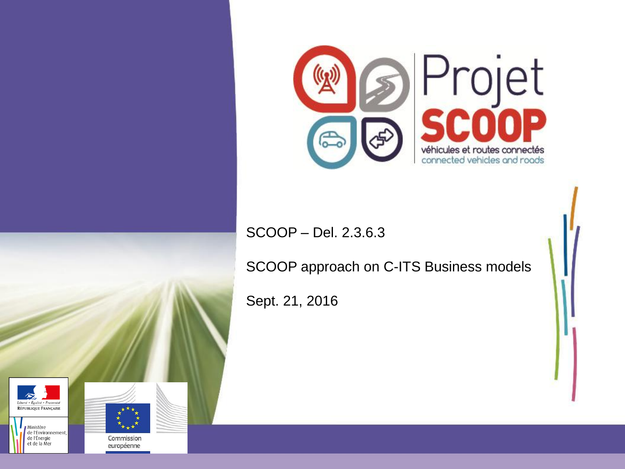

#### SCOOP – Del. 2.3.6.3

SCOOP approach on C-ITS Business models

Sept. 21, 2016







Commission européenne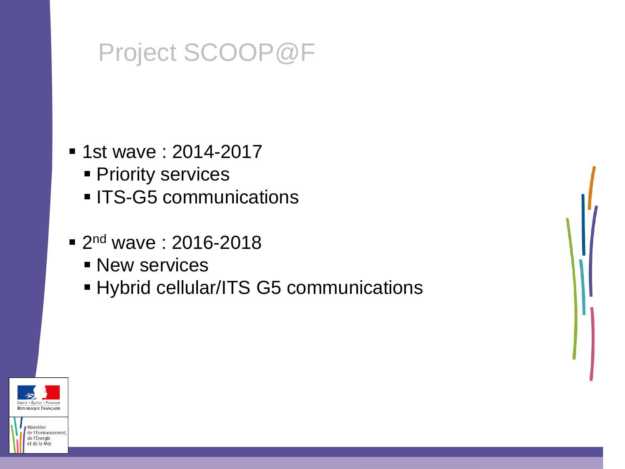# Project SCOOP@F

- 1st wave : 2014-2017
	- **Priority services**
	- **ITS-G5 communications**
- **2nd wave: 2016-2018** 
	- **New services**
	- **Hybrid cellular/ITS G5 communications**



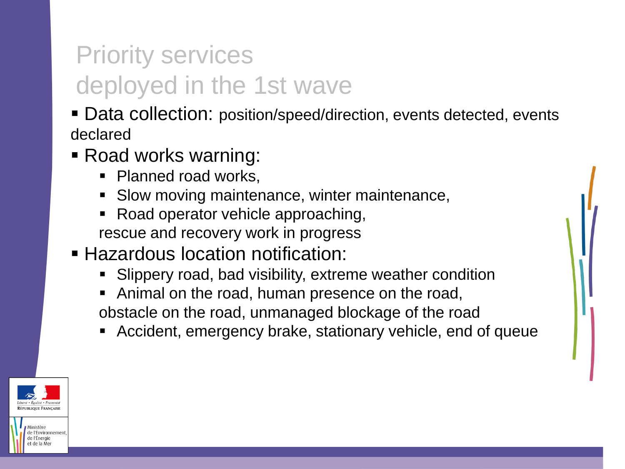# Priority services deployed in the 1st wave

- Data collection: position/speed/direction, events detected, events declared
- Road works warning:
	- Planned road works,
	- **Slow moving maintenance, winter maintenance,**
	- Road operator vehicle approaching, rescue and recovery work in progress
- **Hazardous location notification:** 
	- Slippery road, bad visibility, extreme weather condition
	- Animal on the road, human presence on the road, obstacle on the road, unmanaged blockage of the road
	- Accident, emergency brake, stationary vehicle, end of queue



e l'Environnemen le l'Éneraie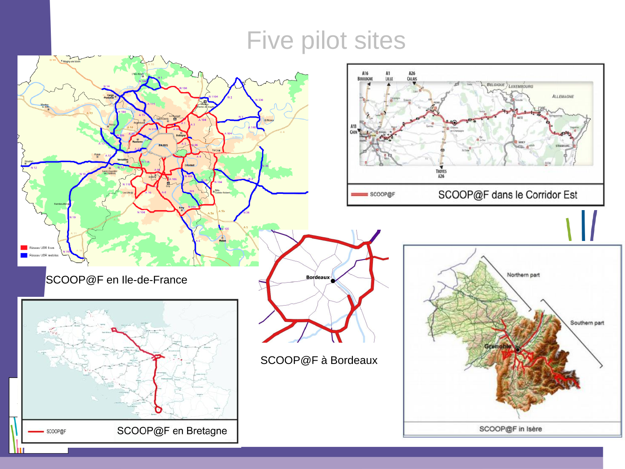# Five pilot sites

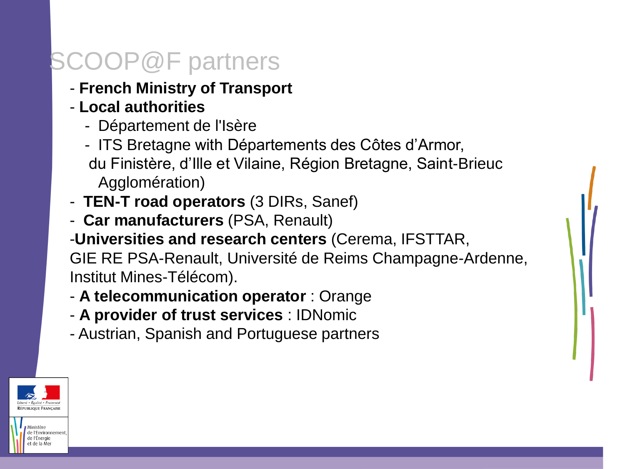## $\text{COOP@F}$  partners

- **French Ministry of Transport**
- **Local authorities** 
	- Département de l'Isère
	- ITS Bretagne with Départements des Côtes d'Armor, du Finistère, d'Ille et Vilaine, Région Bretagne, Saint-Brieuc Agglomération)
- **TEN-T road operators** (3 DIRs, Sanef)
- **Car manufacturers** (PSA, Renault)
- -**Universities and research centers** (Cerema, IFSTTAR, GIE RE PSA-Renault, Université de Reims Champagne-Ardenne, Institut Mines-Télécom).
- **A telecommunication operator** : Orange
- **A provider of trust services** : IDNomic
- Austrian, Spanish and Portuguese partners

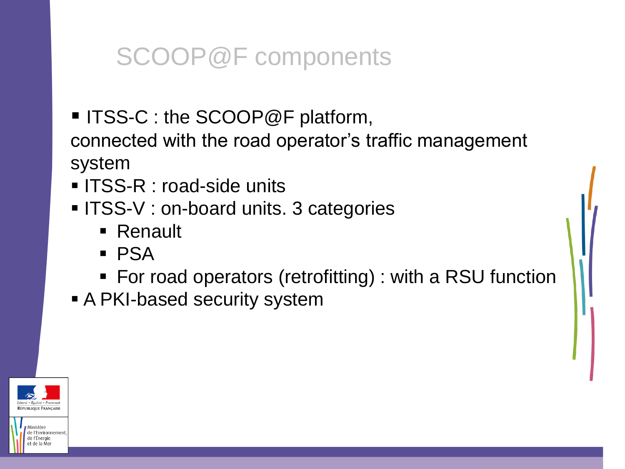## SCOOP@F components

■ ITSS-C : the SCOOP@F platform,

connected with the road operator's traffic management system

- **ITSS-R : road-side units**
- **ITSS-V** : on-board units. 3 categories
	- Renault
	- PSA
	- For road operators (retrofitting) : with a RSU function
- A PKI-based security system



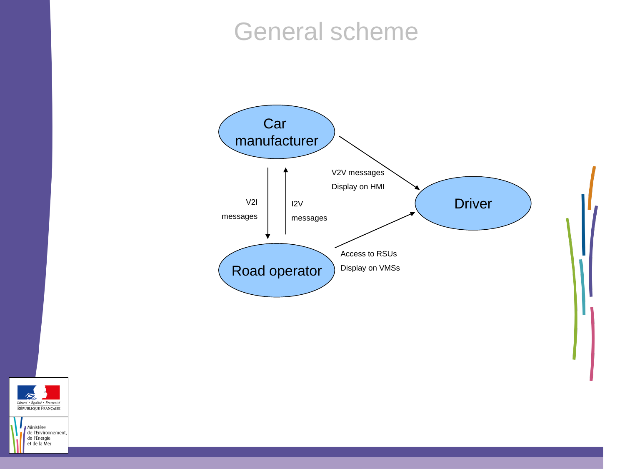#### General scheme





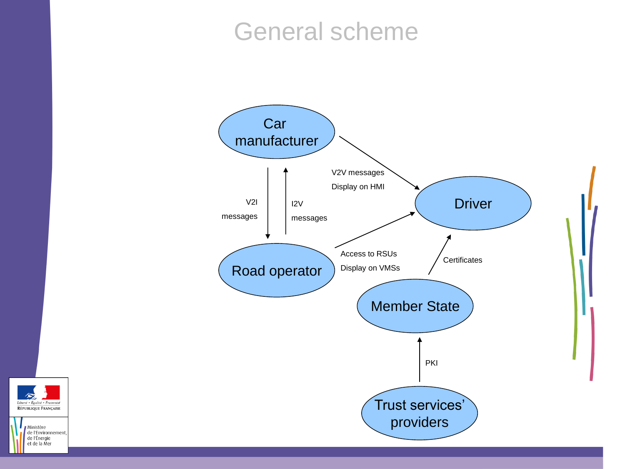#### General scheme





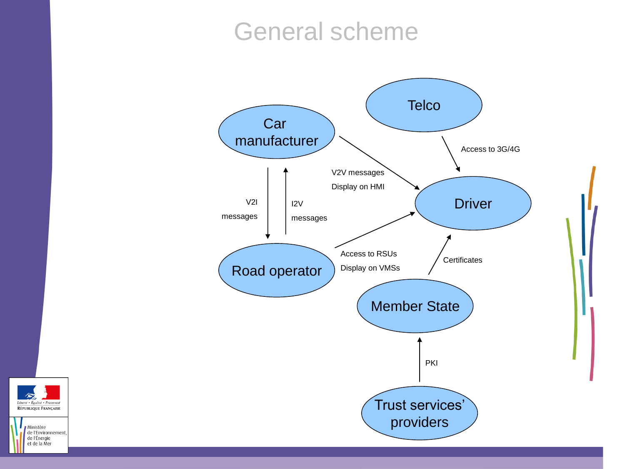#### General scheme





Ministère de l'Environnement de l'Énergie et de la Mer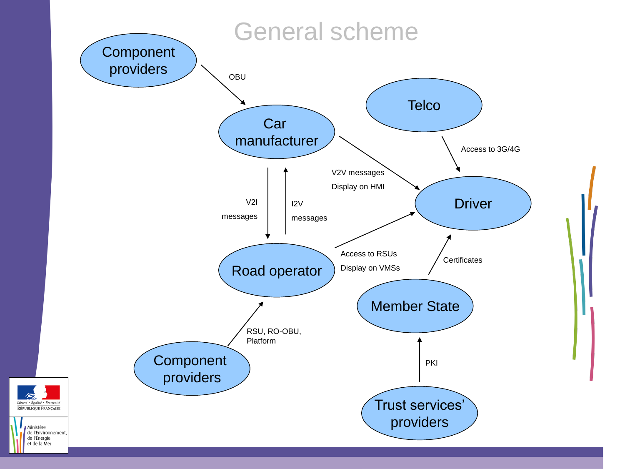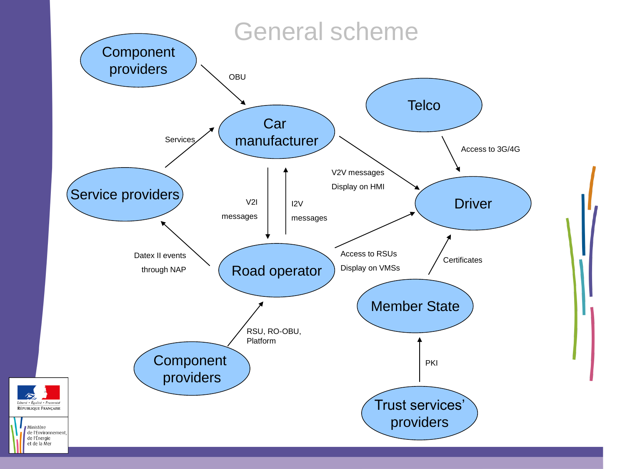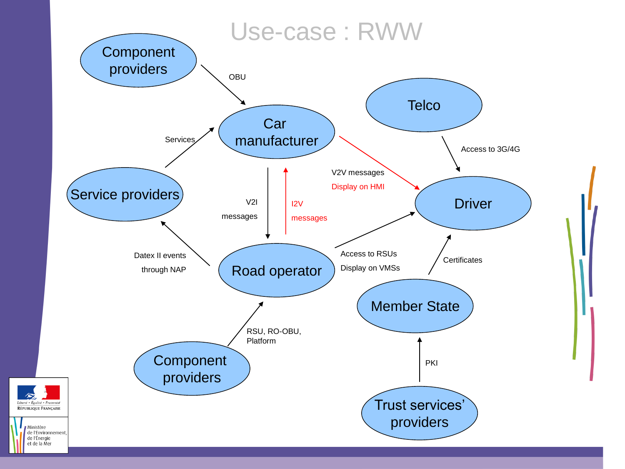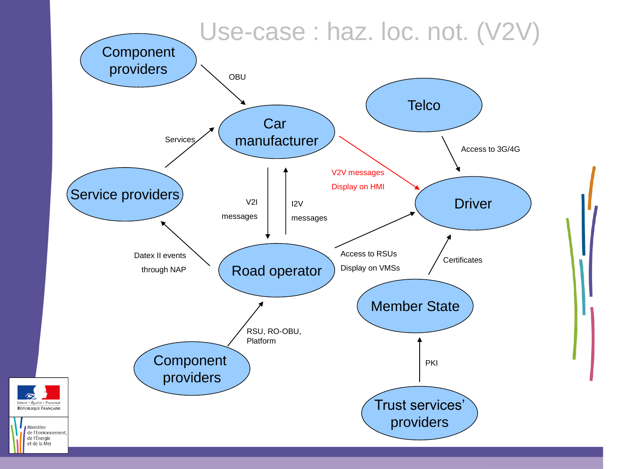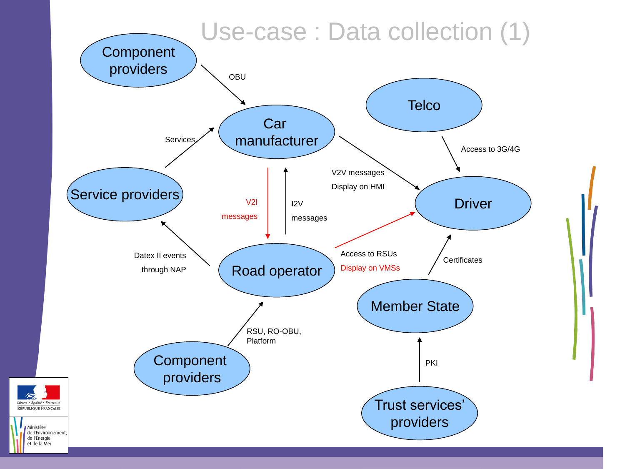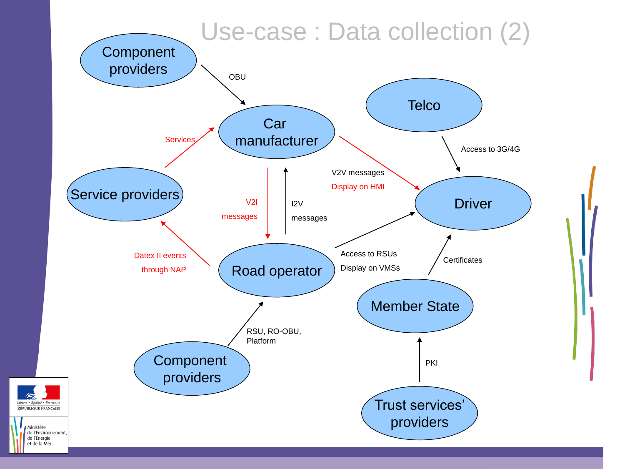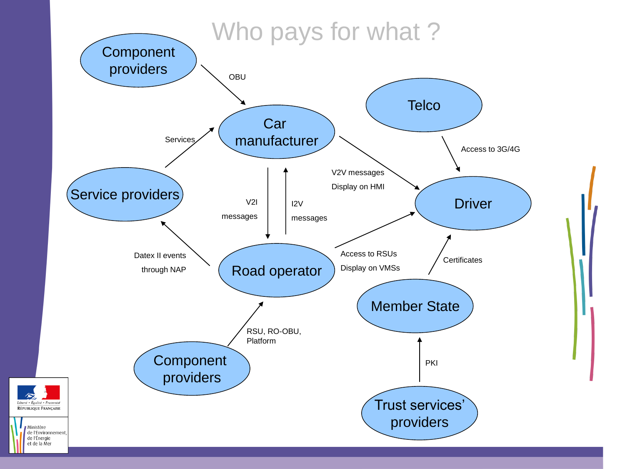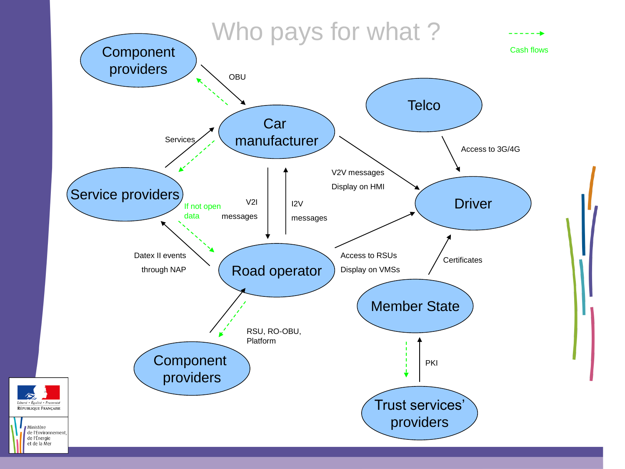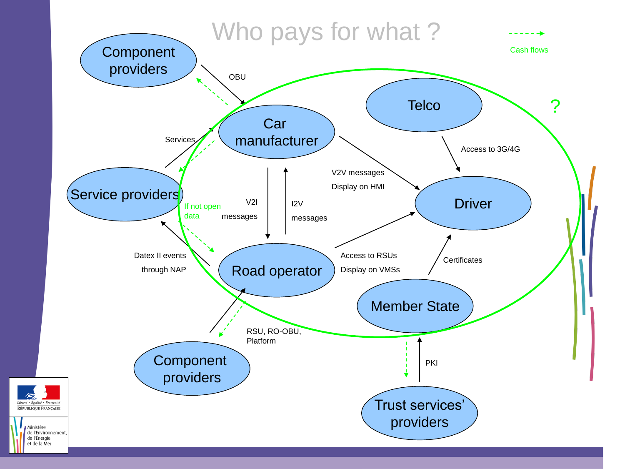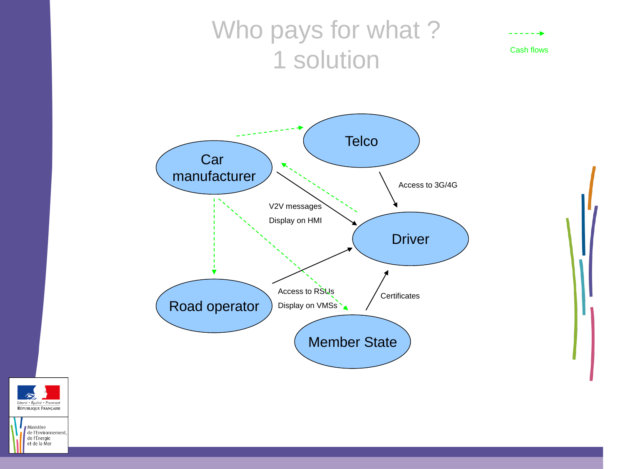## Who pays for what? 1 solution Cash flows

- - - - - -**b**